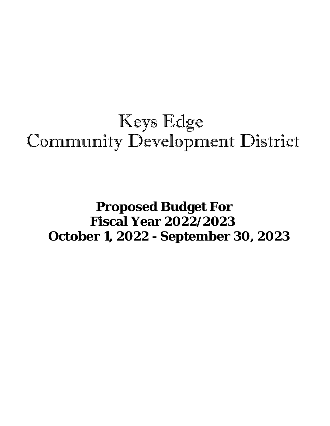# Keys Edge Community Development District

## **Proposed Budget For Fiscal Year 2022/2023 October 1, 2022 - September 30, 2023**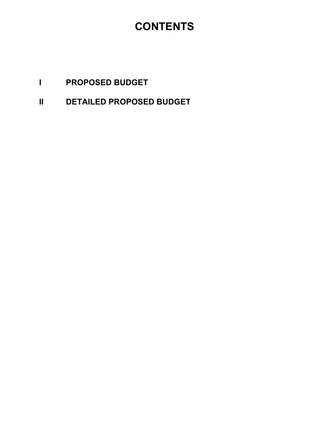### **CONTENTS**

- **I PROPOSED BUDGET**
- **II DETAILED PROPOSED BUDGET**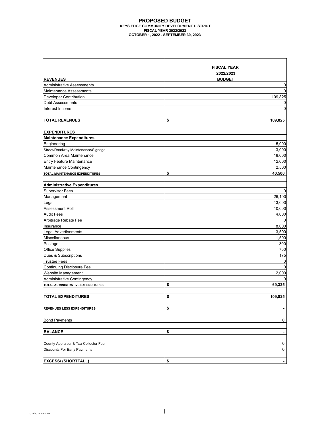### **PROPOSED BUDGET KEYS EDGE COMMUNITY DEVELOPMENT DISTRICT FISCAL YEAR 2022/2023 OCTOBER 1, 2022 - SEPTEMBER 30, 2023**

|                                      | <b>FISCAL YEAR</b>   |
|--------------------------------------|----------------------|
|                                      | 2022/2023            |
| <b>REVENUES</b>                      | <b>BUDGET</b>        |
| <b>Administrative Assessments</b>    | 0                    |
| Maintenance Assessments              | $\Omega$             |
| Developer Contribution               | 109,825              |
| Debt Assessments                     | 0                    |
| Interest Income                      | $\mathbf 0$          |
|                                      |                      |
| <b>TOTAL REVENUES</b>                | \$<br>109,825        |
|                                      |                      |
| <b>EXPENDITURES</b>                  |                      |
| <b>Maintenance Expenditures</b>      |                      |
| Engineering                          | 5,000                |
| Street/Roadway Maintenance/Signage   | 3,000                |
| Common Area Maintenance              | 18,000               |
| <b>Entry Feature Maintenance</b>     | 12,000               |
| Maintenance Contingency              | 2,500                |
| TOTAL MAINTENANCE EXPENDITURES       | \$<br>40,500         |
|                                      |                      |
| <b>Administrative Expenditures</b>   |                      |
| <b>Supervisor Fees</b>               | 0                    |
| Management                           | 26,100               |
| Legal                                | 13,000               |
| Assessment Roll                      | 10,000               |
| <b>Audit Fees</b>                    | 4,000                |
| Arbitrage Rebate Fee                 | 0                    |
| Insurance                            | 8,000                |
| Legal Advertisements                 | 3,500                |
| Miscellaneous                        | 1,500                |
| Postage                              | 300                  |
| <b>Office Supplies</b>               | 750                  |
| Dues & Subscriptions                 | 175                  |
| <b>Trustee Fees</b>                  | 0                    |
| <b>Continuing Disclosure Fee</b>     | $\Omega$             |
| Website Management                   | 2,000                |
| Administrative Contingency           | 0                    |
| TOTAL ADMINISTRATIVE EXPENDITURES    | 69,325<br>\$         |
|                                      |                      |
| <b>TOTAL EXPENDITURES</b>            | \$<br>109,825        |
|                                      |                      |
| REVENUES LESS EXPENDITURES           | \$<br>$\blacksquare$ |
| <b>Bond Payments</b>                 | $\pmb{0}$            |
|                                      |                      |
| <b>BALANCE</b>                       | \$<br>$\blacksquare$ |
| County Appraiser & Tax Collector Fee | 0                    |
| Discounts For Early Payments         | 0                    |
|                                      |                      |
| <b>EXCESS/ (SHORTFALL)</b>           | \$                   |